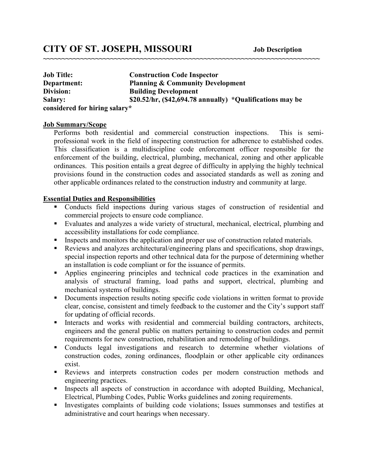| <b>Job Title:</b>             | <b>Construction Code Inspector</b>                          |
|-------------------------------|-------------------------------------------------------------|
| Department:                   | <b>Planning &amp; Community Development</b>                 |
| Division:                     | <b>Building Development</b>                                 |
| <b>Salary:</b>                | \$20.52/hr, $(\$42,694.78$ annually) *Qualifications may be |
| considered for hiring salary* |                                                             |

**~~~~~~~~~~~~~~~~~~~~~~~~~~~~~~~~~~~~~~~~~~~~~~~~~~~~~~~~~~~~~~~~~~~~~~~~~~**

#### **Job Summary/Scope**

Performs both residential and commercial construction inspections. This is semiprofessional work in the field of inspecting construction for adherence to established codes. This classification is a multidiscipline code enforcement officer responsible for the enforcement of the building, electrical, plumbing, mechanical, zoning and other applicable ordinances. This position entails a great degree of difficulty in applying the highly technical provisions found in the construction codes and associated standards as well as zoning and other applicable ordinances related to the construction industry and community at large.

#### **Essential Duties and Responsibilities**

- Conducts field inspections during various stages of construction of residential and commercial projects to ensure code compliance.
- Evaluates and analyzes a wide variety of structural, mechanical, electrical, plumbing and accessibility installations for code compliance.
- Inspects and monitors the application and proper use of construction related materials.
- Reviews and analyzes architectural/engineering plans and specifications, shop drawings, special inspection reports and other technical data for the purpose of determining whether an installation is code compliant or for the issuance of permits.
- Applies engineering principles and technical code practices in the examination and analysis of structural framing, load paths and support, electrical, plumbing and mechanical systems of buildings.
- Documents inspection results noting specific code violations in written format to provide clear, concise, consistent and timely feedback to the customer and the City's support staff for updating of official records.
- Interacts and works with residential and commercial building contractors, architects, engineers and the general public on matters pertaining to construction codes and permit requirements for new construction, rehabilitation and remodeling of buildings.
- Conducts legal investigations and research to determine whether violations of construction codes, zoning ordinances, floodplain or other applicable city ordinances exist.
- Reviews and interprets construction codes per modern construction methods and engineering practices.
- Inspects all aspects of construction in accordance with adopted Building, Mechanical, Electrical, Plumbing Codes, Public Works guidelines and zoning requirements.
- Investigates complaints of building code violations; Issues summonses and testifies at administrative and court hearings when necessary.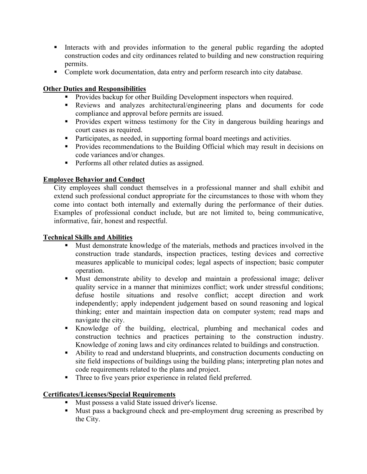- Interacts with and provides information to the general public regarding the adopted construction codes and city ordinances related to building and new construction requiring permits.
- Complete work documentation, data entry and perform research into city database.

## **Other Duties and Responsibilities**

- Provides backup for other Building Development inspectors when required.
- Reviews and analyzes architectural/engineering plans and documents for code compliance and approval before permits are issued.
- **Provides expert witness testimony for the City in dangerous building hearings and** court cases as required.
- Participates, as needed, in supporting formal board meetings and activities.
- **Provides recommendations to the Building Official which may result in decisions on** code variances and/or changes.
- **Performs all other related duties as assigned.**

# **Employee Behavior and Conduct**

City employees shall conduct themselves in a professional manner and shall exhibit and extend such professional conduct appropriate for the circumstances to those with whom they come into contact both internally and externally during the performance of their duties. Examples of professional conduct include, but are not limited to, being communicative, informative, fair, honest and respectful.

### **Technical Skills and Abilities**

- Must demonstrate knowledge of the materials, methods and practices involved in the construction trade standards, inspection practices, testing devices and corrective measures applicable to municipal codes; legal aspects of inspection; basic computer operation.
- Must demonstrate ability to develop and maintain a professional image; deliver quality service in a manner that minimizes conflict; work under stressful conditions; defuse hostile situations and resolve conflict; accept direction and work independently; apply independent judgement based on sound reasoning and logical thinking; enter and maintain inspection data on computer system; read maps and navigate the city.
- Knowledge of the building, electrical, plumbing and mechanical codes and construction technics and practices pertaining to the construction industry. Knowledge of zoning laws and city ordinances related to buildings and construction.
- Ability to read and understand blueprints, and construction documents conducting on site field inspections of buildings using the building plans; interpreting plan notes and code requirements related to the plans and project.
- Three to five years prior experience in related field preferred.

### **Certificates/Licenses/Special Requirements**

- Must possess a valid State issued driver's license.
- Must pass a background check and pre-employment drug screening as prescribed by the City.